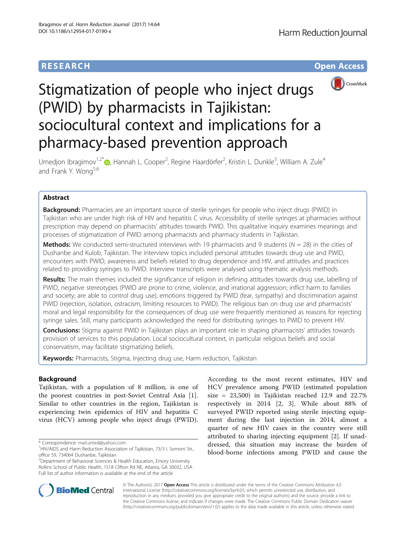## **RESEARCH CHINESE ARCH CHINESE ARCH CHINESE ARCH <b>CHINESE ARCH CHINESE ARCH CHINESE ARCH <b>CHINESE** ARCH **CHINESE ARCH** CHINESE ARCH **CHINESE ARCH** CHINESE ARCH **CHINESE ARCH 2014**



# Stigmatization of people who inject drugs (PWID) by pharmacists in Tajikistan: sociocultural context and implications for a pharmacy-based prevention approach

Umedjon Ibragimov<sup>1[,](http://orcid.org/0000-0001-7111-2139)2\*</sup>®, Hannah L. Cooper<sup>2</sup>, Regine Haardörfer<sup>2</sup>, Kristin L. Dunkle<sup>3</sup>, William A. Zule<sup>4</sup> and Frank Y. Wong<sup>5,6</sup>

## Abstract

**Background:** Pharmacies are an important source of sterile syringes for people who inject drugs (PWID) in Tajikistan who are under high risk of HIV and hepatitis C virus. Accessibility of sterile syringes at pharmacies without prescription may depend on pharmacists' attitudes towards PWID. This qualitative inquiry examines meanings and processes of stigmatization of PWID among pharmacists and pharmacy students in Tajikistan.

**Methods:** We conducted semi-structured interviews with 19 pharmacists and 9 students ( $N = 28$ ) in the cities of Dushanbe and Kulob, Tajikistan. The interview topics included personal attitudes towards drug use and PWID, encounters with PWID, awareness and beliefs related to drug dependence and HIV, and attitudes and practices related to providing syringes to PWID. Interview transcripts were analysed using thematic analysis methods.

Results: The main themes included the significance of religion in defining attitudes towards drug use, labelling of PWID, negative stereotypes (PWID are prone to crime, violence, and irrational aggression; inflict harm to families and society; are able to control drug use), emotions triggered by PWID (fear, sympathy) and discrimination against PWID (rejection, isolation, ostracism, limiting resources to PWID). The religious ban on drug use and pharmacists' moral and legal responsibility for the consequences of drug use were frequently mentioned as reasons for rejecting syringe sales. Still, many participants acknowledged the need for distributing syringes to PWID to prevent HIV.

Conclusions: Stigma against PWID in Tajikistan plays an important role in shaping pharmacists' attitudes towards provision of services to this population. Local sociocultural context, in particular religious beliefs and social conservatism, may facilitate stigmatizing beliefs.

**Keywords:** Pharmacists, Stigma, Injecting drug use, Harm reduction, Tajikistan

## Background

Tajikistan, with a population of 8 million, is one of the poorest countries in post-Soviet Central Asia [\[1](#page-10-0)]. Similar to other countries in the region, Tajikistan is experiencing twin epidemics of HIV and hepatitis C virus (HCV) among people who inject drugs (PWID).

\* Correspondence: [mail.umed@yahoo.com](mailto:mail.umed@yahoo.com) <sup>1</sup>

<sup>2</sup> Department of Behavioral Sciences & Health Education, Emory University Rollins School of Public Health, 1518 Clifton Rd NE, Atlanta, GA 30032, USA Full list of author information is available at the end of the article

According to the most recent estimates, HIV and HCV prevalence among PWID (estimated population size = 23,500) in Tajikistan reached 12.9 and 22.7% respectively in 2014 [\[2](#page-10-0), [3](#page-10-0)]. While about 88% of surveyed PWID reported using sterile injecting equipment during the last injection in 2014, almost a quarter of new HIV cases in the country were still attributed to sharing injecting equipment [\[2](#page-10-0)]. If unaddressed, this situation may increase the burden of blood-borne infections among PWID and cause the



© The Author(s). 2017 **Open Access** This article is distributed under the terms of the Creative Commons Attribution 4.0 International License [\(http://creativecommons.org/licenses/by/4.0/](http://creativecommons.org/licenses/by/4.0/)), which permits unrestricted use, distribution, and reproduction in any medium, provided you give appropriate credit to the original author(s) and the source, provide a link to the Creative Commons license, and indicate if changes were made. The Creative Commons Public Domain Dedication waiver [\(http://creativecommons.org/publicdomain/zero/1.0/](http://creativecommons.org/publicdomain/zero/1.0/)) applies to the data made available in this article, unless otherwise stated.

<sup>&</sup>lt;sup>1</sup>HIV/AIDS and Harm Reduction Association of Tajikistan, 73/3 I. Somoni Str., office 59, 734064 Dushanbe, Tajikistan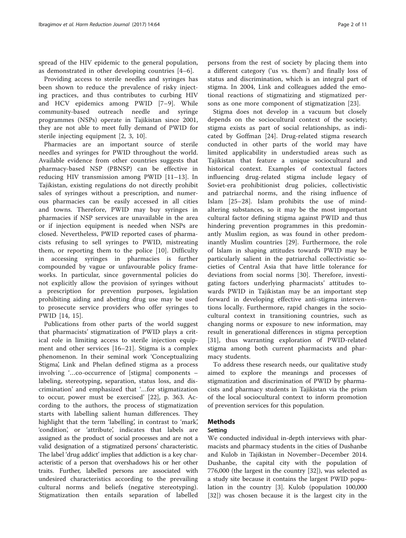spread of the HIV epidemic to the general population, as demonstrated in other developing countries [\[4](#page-10-0)–[6](#page-10-0)].

Providing access to sterile needles and syringes has been shown to reduce the prevalence of risky injecting practices, and thus contributes to curbing HIV and HCV epidemics among PWID [\[7](#page-10-0)–[9](#page-10-0)]. While community-based outreach needle and syringe programmes (NSPs) operate in Tajikistan since 2001, they are not able to meet fully demand of PWID for sterile injecting equipment [[2, 3, 10\]](#page-10-0).

Pharmacies are an important source of sterile needles and syringes for PWID throughout the world. Available evidence from other countries suggests that pharmacy-based NSP (PBNSP) can be effective in reducing HIV transmission among PWID [\[11](#page-10-0)–[13\]](#page-10-0). In Tajikistan, existing regulations do not directly prohibit sales of syringes without a prescription, and numerous pharmacies can be easily accessed in all cities and towns. Therefore, PWID may buy syringes in pharmacies if NSP services are unavailable in the area or if injection equipment is needed when NSPs are closed. Nevertheless, PWID reported cases of pharmacists refusing to sell syringes to PWID, mistreating them, or reporting them to the police [[10\]](#page-10-0). Difficulty in accessing syringes in pharmacies is further compounded by vague or unfavourable policy frameworks. In particular, since governmental policies do not explicitly allow the provision of syringes without a prescription for prevention purposes, legislation prohibiting aiding and abetting drug use may be used to prosecute service providers who offer syringes to PWID [[14](#page-10-0), [15](#page-10-0)].

Publications from other parts of the world suggest that pharmacists' stigmatization of PWID plays a critical role in limiting access to sterile injection equipment and other services [[16](#page-10-0)–[21\]](#page-10-0). Stigma is a complex phenomenon. In their seminal work 'Conceptualizing Stigma', Link and Phelan defined stigma as a process involving '…co-occurrence of [stigma] components – labeling, stereotyping, separation, status loss, and discrimination' and emphasized that '…for stigmatization to occur, power must be exercised' [\[22](#page-10-0)], p. 363. According to the authors, the process of stigmatization starts with labelling salient human differences. They highlight that the term 'labelling', in contrast to 'mark', 'condition', or 'attribute', indicates that labels are assigned as the product of social processes and are not a valid designation of a stigmatized persons' characteristic. The label 'drug addict' implies that addiction is a key characteristic of a person that overshadows his or her other traits. Further, labelled persons are associated with undesired characteristics according to the prevailing cultural norms and beliefs (negative stereotyping). Stigmatization then entails separation of labelled

persons from the rest of society by placing them into a different category ('us vs. them') and finally loss of status and discrimination, which is an integral part of stigma. In 2004, Link and colleagues added the emotional reactions of stigmatizing and stigmatized persons as one more component of stigmatization [[23\]](#page-10-0).

Stigma does not develop in a vacuum but closely depends on the sociocultural context of the society; stigma exists as part of social relationships, as indicated by Goffman [[24\]](#page-10-0). Drug-related stigma research conducted in other parts of the world may have limited applicability in understudied areas such as Tajikistan that feature a unique sociocultural and historical context. Examples of contextual factors influencing drug-related stigma include legacy of Soviet-era prohibitionist drug policies, collectivistic and patriarchal norms, and the rising influence of Islam [[25](#page-10-0)–[28\]](#page-10-0). Islam prohibits the use of mindaltering substances, so it may be the most important cultural factor defining stigma against PWID and thus hindering prevention programmes in this predominantly Muslim region, as was found in other predominantly Muslim countries [[29\]](#page-10-0). Furthermore, the role of Islam in shaping attitudes towards PWID may be particularly salient in the patriarchal collectivistic societies of Central Asia that have little tolerance for deviations from social norms [[30\]](#page-10-0). Therefore, investigating factors underlying pharmacists' attitudes towards PWID in Tajikistan may be an important step forward in developing effective anti-stigma interventions locally. Furthermore, rapid changes in the sociocultural context in transitioning countries, such as changing norms or exposure to new information, may result in generational differences in stigma perception [[31\]](#page-10-0), thus warranting exploration of PWID-related stigma among both current pharmacists and pharmacy students.

To address these research needs, our qualitative study aimed to explore the meanings and processes of stigmatization and discrimination of PWID by pharmacists and pharmacy students in Tajikistan via the prism of the local sociocultural context to inform promotion of prevention services for this population.

## Methods

## Setting

We conducted individual in-depth interviews with pharmacists and pharmacy students in the cities of Dushanbe and Kulob in Tajikistan in November–December 2014. Dushanbe, the capital city with the population of 776,000 (the largest in the country [[32](#page-10-0)]), was selected as a study site because it contains the largest PWID population in the country [\[3](#page-10-0)]. Kulob (population 100,000 [[32\]](#page-10-0)) was chosen because it is the largest city in the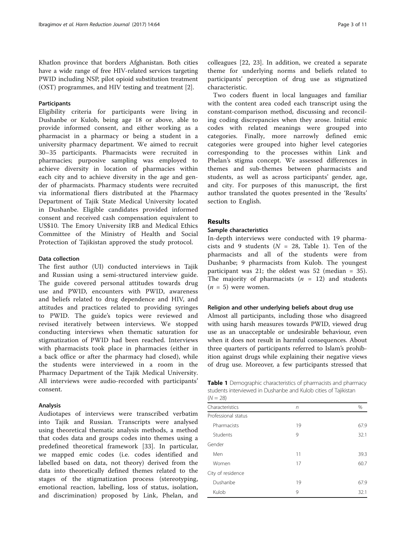Khatlon province that borders Afghanistan. Both cities have a wide range of free HIV-related services targeting PWID including NSP, pilot opioid substitution treatment (OST) programmes, and HIV testing and treatment [[2\]](#page-10-0).

## **Participants**

Eligibility criteria for participants were living in Dushanbe or Kulob, being age 18 or above, able to provide informed consent, and either working as a pharmacist in a pharmacy or being a student in a university pharmacy department. We aimed to recruit 30–35 participants. Pharmacists were recruited in pharmacies; purposive sampling was employed to achieve diversity in location of pharmacies within each city and to achieve diversity in the age and gender of pharmacists. Pharmacy students were recruited via informational fliers distributed at the Pharmacy Department of Tajik State Medical University located in Dushanbe. Eligible candidates provided informed consent and received cash compensation equivalent to US\$10. The Emory University IRB and Medical Ethics Committee of the Ministry of Health and Social Protection of Tajikistan approved the study protocol.

## Data collection

The first author (UI) conducted interviews in Tajik and Russian using a semi-structured interview guide. The guide covered personal attitudes towards drug use and PWID, encounters with PWID, awareness and beliefs related to drug dependence and HIV, and attitudes and practices related to providing syringes to PWID. The guide's topics were reviewed and revised iteratively between interviews. We stopped conducting interviews when thematic saturation for stigmatization of PWID had been reached. Interviews with pharmacists took place in pharmacies (either in a back office or after the pharmacy had closed), while the students were interviewed in a room in the Pharmacy Department of the Tajik Medical University. All interviews were audio-recorded with participants' consent.

## Analysis

Audiotapes of interviews were transcribed verbatim into Tajik and Russian. Transcripts were analysed using theoretical thematic analysis methods, a method that codes data and groups codes into themes using a predefined theoretical framework [[33](#page-10-0)]. In particular, we mapped emic codes (i.e. codes identified and labelled based on data, not theory) derived from the data into theoretically defined themes related to the stages of the stigmatization process (stereotyping, emotional reaction, labelling, loss of status, isolation, and discrimination) proposed by Link, Phelan, and colleagues [[22, 23](#page-10-0)]. In addition, we created a separate theme for underlying norms and beliefs related to participants' perception of drug use as stigmatized characteristic.

Two coders fluent in local languages and familiar with the content area coded each transcript using the constant-comparison method, discussing and reconciling coding discrepancies when they arose. Initial emic codes with related meanings were grouped into categories. Finally, more narrowly defined emic categories were grouped into higher level categories corresponding to the processes within Link and Phelan's stigma concept. We assessed differences in themes and sub-themes between pharmacists and students, as well as across participants' gender, age, and city. For purposes of this manuscript, the first author translated the quotes presented in the 'Results' section to English.

## Results

## Sample characteristics

In-depth interviews were conducted with 19 pharmacists and 9 students ( $N = 28$ , Table 1). Ten of the pharmacists and all of the students were from Dushanbe; 9 pharmacists from Kulob. The youngest participant was 21; the oldest was 52 (median = 35). The majority of pharmacists  $(n = 12)$  and students  $(n = 5)$  were women.

## Religion and other underlying beliefs about drug use

Almost all participants, including those who disagreed with using harsh measures towards PWID, viewed drug use as an unacceptable or undesirable behaviour, even when it does not result in harmful consequences. About three quarters of participants referred to Islam's prohibition against drugs while explaining their negative views of drug use. Moreover, a few participants stressed that

| <b>Table 1</b> Demographic characteristics of pharmacists and pharmacy |
|------------------------------------------------------------------------|
| students interviewed in Dushanbe and Kulob cities of Tajikistan        |
| $(\lambda_1$ $\cap$ $\cap$                                             |

| $(N = 28)$          |    |      |
|---------------------|----|------|
| Characteristics     | n  | %    |
| Professional status |    |      |
| Pharmacists         | 19 | 67.9 |
| Students            | 9  | 32.1 |
| Gender              |    |      |
| Men                 | 11 | 39.3 |
| Women               | 17 | 60.7 |
| City of residence   |    |      |
| Dushanbe            | 19 | 67.9 |
| Kulob               | 9  | 32.1 |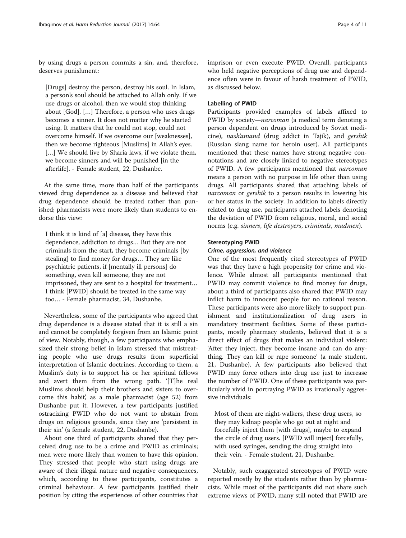by using drugs a person commits a sin, and, therefore, deserves punishment:

[Drugs] destroy the person, destroy his soul. In Islam, a person's soul should be attached to Allah only. If we use drugs or alcohol, then we would stop thinking about [God]. […] Therefore, a person who uses drugs becomes a sinner. It does not matter why he started using. It matters that he could not stop, could not overcome himself. If we overcome our [weaknesses], then we become righteous [Muslims] in Allah's eyes. [...] We should live by Sharia laws, if we violate them, we become sinners and will be punished [in the afterlife]. - Female student, 22, Dushanbe.

At the same time, more than half of the participants viewed drug dependence as a disease and believed that drug dependence should be treated rather than punished; pharmacists were more likely than students to endorse this view:

I think it is kind of [a] disease, they have this dependence, addiction to drugs… But they are not criminals from the start, they become criminals [by stealing] to find money for drugs… They are like psychiatric patients, if [mentally ill persons] do something, even kill someone, they are not imprisoned, they are sent to a hospital for treatment… I think [PWID] should be treated in the same way too… - Female pharmacist, 34, Dushanbe.

Nevertheless, some of the participants who agreed that drug dependence is a disease stated that it is still a sin and cannot be completely forgiven from an Islamic point of view. Notably, though, a few participants who emphasized their strong belief in Islam stressed that mistreating people who use drugs results from superficial interpretation of Islamic doctrines. According to them, a Muslim's duty is to support his or her spiritual fellows and avert them from the wrong path. '[T]he real Muslims should help their brothers and sisters to overcome this habit', as a male pharmacist (age 52) from Dushanbe put it. However, a few participants justified ostracizing PWID who do not want to abstain from drugs on religious grounds, since they are 'persistent in their sin' (a female student, 22, Dushanbe).

About one third of participants shared that they perceived drug use to be a crime and PWID as criminals; men were more likely than women to have this opinion. They stressed that people who start using drugs are aware of their illegal nature and negative consequences, which, according to these participants, constitutes a criminal behaviour. A few participants justified their position by citing the experiences of other countries that

imprison or even execute PWID. Overall, participants who held negative perceptions of drug use and dependence often were in favour of harsh treatment of PWID, as discussed below.

## Labelling of PWID

Participants provided examples of labels affixed to PWID by society—*narcoman* (a medical term denoting a person dependent on drugs introduced by Soviet medicine), nash'amand (drug addict in Tajik), and gershik (Russian slang name for heroin user). All participants mentioned that these names have strong negative connotations and are closely linked to negative stereotypes of PWID. A few participants mentioned that narcoman means a person with no purpose in life other than using drugs. All participants shared that attaching labels of narcoman or gershik to a person results in lowering his or her status in the society. In addition to labels directly related to drug use, participants attached labels denoting the deviation of PWID from religious, moral, and social norms (e.g. sinners, life destroyers, criminals, madmen).

## Stereotyping PWID

## Crime, aggression, and violence

One of the most frequently cited stereotypes of PWID was that they have a high propensity for crime and violence. While almost all participants mentioned that PWID may commit violence to find money for drugs, about a third of participants also shared that PWID may inflict harm to innocent people for no rational reason. These participants were also more likely to support punishment and institutionalization of drug users in mandatory treatment facilities. Some of these participants, mostly pharmacy students, believed that it is a direct effect of drugs that makes an individual violent: 'After they inject, they become insane and can do anything. They can kill or rape someone' (a male student, 21, Dushanbe). A few participants also believed that PWID may force others into drug use just to increase the number of PWID. One of these participants was particularly vivid in portraying PWID as irrationally aggressive individuals:

Most of them are night-walkers, these drug users, so they may kidnap people who go out at night and forcefully inject them [with drugs], maybe to expand the circle of drug users. [PWID will inject] forcefully, with used syringes, sending the drug straight into their vein. - Female student, 21, Dushanbe.

Notably, such exaggerated stereotypes of PWID were reported mostly by the students rather than by pharmacists. While most of the participants did not share such extreme views of PWID, many still noted that PWID are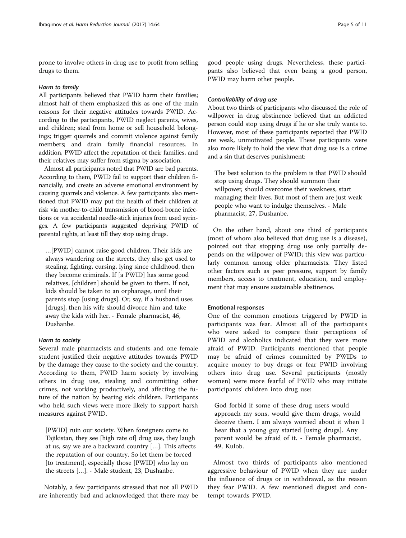prone to involve others in drug use to profit from selling drugs to them.

## Harm to family

All participants believed that PWID harm their families; almost half of them emphasized this as one of the main reasons for their negative attitudes towards PWID. According to the participants, PWID neglect parents, wives, and children; steal from home or sell household belongings; trigger quarrels and commit violence against family members; and drain family financial resources. In addition, PWID affect the reputation of their families, and their relatives may suffer from stigma by association.

Almost all participants noted that PWID are bad parents. According to them, PWID fail to support their children financially, and create an adverse emotional environment by causing quarrels and violence. A few participants also mentioned that PWID may put the health of their children at risk via mother-to-child transmission of blood-borne infections or via accidental needle-stick injuries from used syringes. A few participants suggested depriving PWID of parental rights, at least till they stop using drugs.

…[PWID] cannot raise good children. Their kids are always wandering on the streets, they also get used to stealing, fighting, cursing, lying since childhood, then they become criminals. If [a PWID] has some good relatives, [children] should be given to them. If not, kids should be taken to an orphanage, until their parents stop [using drugs]. Or, say, if a husband uses [drugs], then his wife should divorce him and take away the kids with her. - Female pharmacist, 46, Dushanbe.

## Harm to society

Several male pharmacists and students and one female student justified their negative attitudes towards PWID by the damage they cause to the society and the country. According to them, PWID harm society by involving others in drug use, stealing and committing other crimes, not working productively, and affecting the future of the nation by bearing sick children. Participants who held such views were more likely to support harsh measures against PWID.

[PWID] ruin our society. When foreigners come to Tajikistan, they see [high rate of] drug use, they laugh at us, say we are a backward country […]. This affects the reputation of our country. So let them be forced [to treatment], especially those [PWID] who lay on the streets […]. - Male student, 23, Dushanbe.

Notably, a few participants stressed that not all PWID are inherently bad and acknowledged that there may be

good people using drugs. Nevertheless, these participants also believed that even being a good person, PWID may harm other people.

## Controllability of drug use

About two thirds of participants who discussed the role of willpower in drug abstinence believed that an addicted person could stop using drugs if he or she truly wants to. However, most of these participants reported that PWID are weak, unmotivated people. These participants were also more likely to hold the view that drug use is a crime and a sin that deserves punishment:

The best solution to the problem is that PWID should stop using drugs. They should summon their willpower, should overcome their weakness, start managing their lives. But most of them are just weak people who want to indulge themselves. - Male pharmacist, 27, Dushanbe.

On the other hand, about one third of participants (most of whom also believed that drug use is a disease), pointed out that stopping drug use only partially depends on the willpower of PWID; this view was particularly common among older pharmacists. They listed other factors such as peer pressure, support by family members, access to treatment, education, and employment that may ensure sustainable abstinence.

## Emotional responses

One of the common emotions triggered by PWID in participants was fear. Almost all of the participants who were asked to compare their perceptions of PWID and alcoholics indicated that they were more afraid of PWID. Participants mentioned that people may be afraid of crimes committed by PWIDs to acquire money to buy drugs or fear PWID involving others into drug use. Several participants (mostly women) were more fearful of PWID who may initiate participants' children into drug use:

God forbid if some of these drug users would approach my sons, would give them drugs, would deceive them. I am always worried about it when I hear that a young guy started [using drugs]. Any parent would be afraid of it. - Female pharmacist, 49, Kulob.

Almost two thirds of participants also mentioned aggressive behaviour of PWID when they are under the influence of drugs or in withdrawal, as the reason they fear PWID. A few mentioned disgust and contempt towards PWID.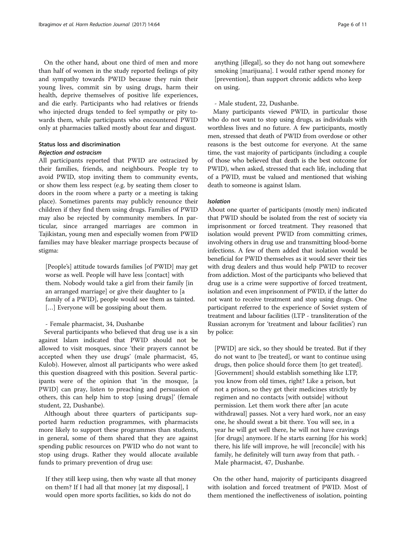On the other hand, about one third of men and more than half of women in the study reported feelings of pity and sympathy towards PWID because they ruin their young lives, commit sin by using drugs, harm their health, deprive themselves of positive life experiences, and die early. Participants who had relatives or friends who injected drugs tended to feel sympathy or pity towards them, while participants who encountered PWID only at pharmacies talked mostly about fear and disgust.

## Status loss and discrimination Rejection and ostracism

All participants reported that PWID are ostracized by their families, friends, and neighbours. People try to avoid PWID, stop inviting them to community events, or show them less respect (e.g. by seating them closer to doors in the room where a party or a meeting is taking place). Sometimes parents may publicly renounce their children if they find them using drugs. Families of PWID may also be rejected by community members. In particular, since arranged marriages are common in Tajikistan, young men and especially women from PWID families may have bleaker marriage prospects because of stigma:

[People's] attitude towards families [of PWID] may get worse as well. People will have less [contact] with them. Nobody would take a girl from their family [in an arranged marriage] or give their daughter to [a family of a PWID], people would see them as tainted. [...] Everyone will be gossiping about them.

- Female pharmacist, 34, Dushanbe

Several participants who believed that drug use is a sin against Islam indicated that PWID should not be allowed to visit mosques, since 'their prayers cannot be accepted when they use drugs' (male pharmacist, 45, Kulob). However, almost all participants who were asked this question disagreed with this position. Several participants were of the opinion that 'in the mosque, [a PWID] can pray, listen to preaching and persuasion of others, this can help him to stop [using drugs]' (female student, 22, Dushanbe).

Although about three quarters of participants supported harm reduction programmes, with pharmacists more likely to support these programmes than students, in general, some of them shared that they are against spending public resources on PWID who do not want to stop using drugs. Rather they would allocate available funds to primary prevention of drug use:

If they still keep using, then why waste all that money on them? If I had all that money [at my disposal], I would open more sports facilities, so kids do not do

anything [illegal], so they do not hang out somewhere smoking [marijuana]. I would rather spend money for [prevention], than support chronic addicts who keep on using.

- Male student, 22, Dushanbe.

Many participants viewed PWID, in particular those who do not want to stop using drugs, as individuals with worthless lives and no future. A few participants, mostly men, stressed that death of PWID from overdose or other reasons is the best outcome for everyone. At the same time, the vast majority of participants (including a couple of those who believed that death is the best outcome for PWID), when asked, stressed that each life, including that of a PWID, must be valued and mentioned that wishing death to someone is against Islam.

## Isolation

About one quarter of participants (mostly men) indicated that PWID should be isolated from the rest of society via imprisonment or forced treatment. They reasoned that isolation would prevent PWID from committing crimes, involving others in drug use and transmitting blood-borne infections. A few of them added that isolation would be beneficial for PWID themselves as it would sever their ties with drug dealers and thus would help PWID to recover from addiction. Most of the participants who believed that drug use is a crime were supportive of forced treatment, isolation and even imprisonment of PWID, if the latter do not want to receive treatment and stop using drugs. One participant referred to the experience of Soviet system of treatment and labour facilities (LTP - transliteration of the Russian acronym for 'treatment and labour facilities') run by police:

[PWID] are sick, so they should be treated. But if they do not want to [be treated], or want to continue using drugs, then police should force them [to get treated]. [Government] should establish something like LTP, you know from old times, right? Like a prison, but not a prison, so they get their medicines strictly by regimen and no contacts [with outside] without permission. Let them work there after [an acute withdrawal] passes. Not a very hard work, nor an easy one, he should sweat a bit there. You will see, in a year he will get well there, he will not have cravings [for drugs] anymore. If he starts earning [for his work] there, his life will improve, he will [reconcile] with his family, he definitely will turn away from that path. - Male pharmacist, 47, Dushanbe.

On the other hand, majority of participants disagreed with isolation and forced treatment of PWID. Most of them mentioned the ineffectiveness of isolation, pointing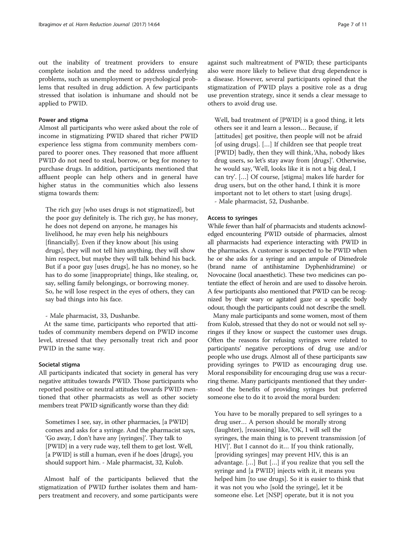out the inability of treatment providers to ensure complete isolation and the need to address underlying problems, such as unemployment or psychological problems that resulted in drug addiction. A few participants stressed that isolation is inhumane and should not be applied to PWID.

## Power and stigma

Almost all participants who were asked about the role of income in stigmatizing PWID shared that richer PWID experience less stigma from community members compared to poorer ones. They reasoned that more affluent PWID do not need to steal, borrow, or beg for money to purchase drugs. In addition, participants mentioned that affluent people can help others and in general have higher status in the communities which also lessens stigma towards them:

The rich guy [who uses drugs is not stigmatized], but the poor guy definitely is. The rich guy, he has money, he does not depend on anyone, he manages his livelihood, he may even help his neighbours [financially]. Even if they know about [his using drugs], they will not tell him anything, they will show him respect, but maybe they will talk behind his back. But if a poor guy [uses drugs], he has no money, so he has to do some [inappropriate] things, like stealing, or, say, selling family belongings, or borrowing money. So, he will lose respect in the eyes of others, they can say bad things into his face.

- Male pharmacist, 33, Dushanbe.

At the same time, participants who reported that attitudes of community members depend on PWID income level, stressed that they personally treat rich and poor PWID in the same way.

## Societal stigma

All participants indicated that society in general has very negative attitudes towards PWID. Those participants who reported positive or neutral attitudes towards PWID mentioned that other pharmacists as well as other society members treat PWID significantly worse than they did:

Sometimes I see, say, in other pharmacies, [a PWID] comes and asks for a syringe. And the pharmacist says, 'Go away, I don't have any [syringes]'. They talk to [PWID] in a very rude way, tell them to get lost. Well, [a PWID] is still a human, even if he does [drugs], you should support him. - Male pharmacist, 32, Kulob.

Almost half of the participants believed that the stigmatization of PWID further isolates them and hampers treatment and recovery, and some participants were

against such maltreatment of PWID; these participants also were more likely to believe that drug dependence is a disease. However, several participants opined that the stigmatization of PWID plays a positive role as a drug use prevention strategy, since it sends a clear message to others to avoid drug use.

Well, bad treatment of [PWID] is a good thing, it lets others see it and learn a lesson… Because, if [attitudes] get positive, then people will not be afraid [of using drugs]. [...] If children see that people treat [PWID] badly, then they will think, 'Aha, nobody likes drug users, so let's stay away from [drugs]'. Otherwise, he would say, 'Well, looks like it is not a big deal, I can try'. […] Of course, [stigma] makes life harder for drug users, but on the other hand, I think it is more important not to let others to start [using drugs]. - Male pharmacist, 52, Dushanbe.

## Access to syringes

While fewer than half of pharmacists and students acknowledged encountering PWID outside of pharmacies, almost all pharmacists had experience interacting with PWID in the pharmacies. A customer is suspected to be PWID when he or she asks for a syringe and an ampule of Dimedrole (brand name of antihistamine Dyphenhidramine) or Novocaine (local anaesthetic). These two medicines can potentiate the effect of heroin and are used to dissolve heroin. A few participants also mentioned that PWID can be recognized by their wary or agitated gaze or a specific body odour, though the participants could not describe the smell.

Many male participants and some women, most of them from Kulob, stressed that they do not or would not sell syringes if they know or suspect the customer uses drugs. Often the reasons for refusing syringes were related to participants' negative perceptions of drug use and/or people who use drugs. Almost all of these participants saw providing syringes to PWID as encouraging drug use. Moral responsibility for encouraging drug use was a recurring theme. Many participants mentioned that they understood the benefits of providing syringes but preferred someone else to do it to avoid the moral burden:

You have to be morally prepared to sell syringes to a drug user… A person should be morally strong (laughter), [reasoning] like, 'OK, I will sell the syringes, the main thing is to prevent transmission [of HIV]'. But I cannot do it… If you think rationally, [providing syringes] may prevent HIV, this is an advantage. […] But […] if you realize that you sell the syringe and [a PWID] injects with it, it means you helped him [to use drugs]. So it is easier to think that it was not you who [sold the syringe], let it be someone else. Let [NSP] operate, but it is not you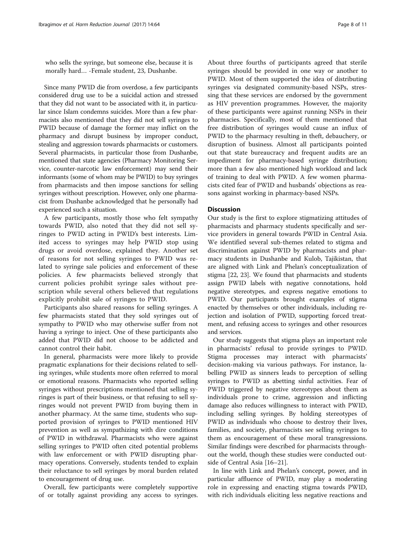who sells the syringe, but someone else, because it is morally hard… -Female student, 23, Dushanbe.

Since many PWID die from overdose, a few participants considered drug use to be a suicidal action and stressed that they did not want to be associated with it, in particular since Islam condemns suicides. More than a few pharmacists also mentioned that they did not sell syringes to PWID because of damage the former may inflict on the pharmacy and disrupt business by improper conduct, stealing and aggression towards pharmacists or customers. Several pharmacists, in particular those from Dushanbe, mentioned that state agencies (Pharmacy Monitoring Service, counter-narcotic law enforcement) may send their informants (some of whom may be PWID) to buy syringes from pharmacists and then impose sanctions for selling syringes without prescription. However, only one pharmacist from Dushanbe acknowledged that he personally had experienced such a situation.

A few participants, mostly those who felt sympathy towards PWID, also noted that they did not sell syringes to PWID acting in PWID's best interests. Limited access to syringes may help PWID stop using drugs or avoid overdose, explained they. Another set of reasons for not selling syringes to PWID was related to syringe sale policies and enforcement of these policies. A few pharmacists believed strongly that current policies prohibit syringe sales without prescription while several others believed that regulations explicitly prohibit sale of syringes to PWID.

Participants also shared reasons for selling syringes. A few pharmacists stated that they sold syringes out of sympathy to PWID who may otherwise suffer from not having a syringe to inject. One of these participants also added that PWID did not choose to be addicted and cannot control their habit.

In general, pharmacists were more likely to provide pragmatic explanations for their decisions related to selling syringes, while students more often referred to moral or emotional reasons. Pharmacists who reported selling syringes without prescriptions mentioned that selling syringes is part of their business, or that refusing to sell syringes would not prevent PWID from buying them in another pharmacy. At the same time, students who supported provision of syringes to PWID mentioned HIV prevention as well as sympathizing with dire conditions of PWID in withdrawal. Pharmacists who were against selling syringes to PWID often cited potential problems with law enforcement or with PWID disrupting pharmacy operations. Conversely, students tended to explain their reluctance to sell syringes by moral burden related to encouragement of drug use.

Overall, few participants were completely supportive of or totally against providing any access to syringes. About three fourths of participants agreed that sterile syringes should be provided in one way or another to PWID. Most of them supported the idea of distributing syringes via designated community-based NSPs, stressing that these services are endorsed by the government as HIV prevention programmes. However, the majority of these participants were against running NSPs in their pharmacies. Specifically, most of them mentioned that free distribution of syringes would cause an influx of PWID to the pharmacy resulting in theft, debauchery, or disruption of business. Almost all participants pointed out that state bureaucracy and frequent audits are an impediment for pharmacy-based syringe distribution; more than a few also mentioned high workload and lack of training to deal with PWID. A few women pharmacists cited fear of PWID and husbands' objections as reasons against working in pharmacy-based NSPs.

## **Discussion**

Our study is the first to explore stigmatizing attitudes of pharmacists and pharmacy students specifically and service providers in general towards PWID in Central Asia. We identified several sub-themes related to stigma and discrimination against PWID by pharmacists and pharmacy students in Dushanbe and Kulob, Tajikistan, that are aligned with Link and Phelan's conceptualization of stigma [[22](#page-10-0), [23](#page-10-0)]. We found that pharmacists and students assign PWID labels with negative connotations, hold negative stereotypes, and express negative emotions to PWID. Our participants brought examples of stigma enacted by themselves or other individuals, including rejection and isolation of PWID, supporting forced treatment, and refusing access to syringes and other resources and services.

Our study suggests that stigma plays an important role in pharmacists' refusal to provide syringes to PWID. Stigma processes may interact with pharmacists' decision-making via various pathways. For instance, labelling PWID as sinners leads to perception of selling syringes to PWID as abetting sinful activities. Fear of PWID triggered by negative stereotypes about them as individuals prone to crime, aggression and inflicting damage also reduces willingness to interact with PWID, including selling syringes. By holding stereotypes of PWID as individuals who choose to destroy their lives, families, and society, pharmacists see selling syringes to them as encouragement of these moral transgressions. Similar findings were described for pharmacists throughout the world, though these studies were conducted outside of Central Asia [[16](#page-10-0)–[21](#page-10-0)].

In line with Link and Phelan's concept, power, and in particular affluence of PWID, may play a moderating role in expressing and enacting stigma towards PWID, with rich individuals eliciting less negative reactions and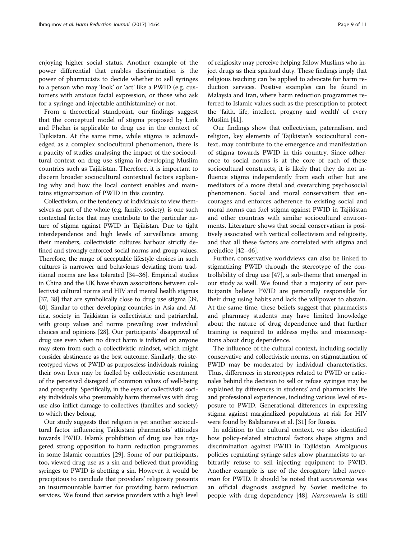enjoying higher social status. Another example of the power differential that enables discrimination is the power of pharmacists to decide whether to sell syringes to a person who may 'look' or 'act' like a PWID (e.g. customers with anxious facial expression, or those who ask for a syringe and injectable antihistamine) or not.

From a theoretical standpoint, our findings suggest that the conceptual model of stigma proposed by Link and Phelan is applicable to drug use in the context of Tajikistan. At the same time, while stigma is acknowledged as a complex sociocultural phenomenon, there is a paucity of studies analysing the impact of the sociocultural context on drug use stigma in developing Muslim countries such as Tajikistan. Therefore, it is important to discern broader sociocultural contextual factors explaining why and how the local context enables and maintains stigmatization of PWID in this country.

Collectivism, or the tendency of individuals to view themselves as part of the whole (e.g. family, society), is one such contextual factor that may contribute to the particular nature of stigma against PWID in Tajikistan. Due to tight interdependence and high levels of surveillance among their members, collectivistic cultures harbour strictly defined and strongly enforced social norms and group values. Therefore, the range of acceptable lifestyle choices in such cultures is narrower and behaviours deviating from traditional norms are less tolerated [[34](#page-10-0)–[36](#page-10-0)]. Empirical studies in China and the UK have shown associations between collectivist cultural norms and HIV and mental health stigmas [[37](#page-10-0), [38\]](#page-10-0) that are symbolically close to drug use stigma [\[39](#page-10-0), [40](#page-10-0)]. Similar to other developing countries in Asia and Africa, society in Tajikistan is collectivistic and patriarchal, with group values and norms prevailing over individual choices and opinions [[28\]](#page-10-0). Our participants' disapproval of drug use even when no direct harm is inflicted on anyone may stem from such a collectivistic mindset, which might consider abstinence as the best outcome. Similarly, the stereotyped views of PWID as purposeless individuals ruining their own lives may be fuelled by collectivistic resentment of the perceived disregard of common values of well-being and prosperity. Specifically, in the eyes of collectivistic society individuals who presumably harm themselves with drug use also inflict damage to collectives (families and society) to which they belong.

Our study suggests that religion is yet another sociocultural factor influencing Tajikistani pharmacists' attitudes towards PWID. Islam's prohibition of drug use has triggered strong opposition to harm reduction programmes in some Islamic countries [\[29\]](#page-10-0). Some of our participants, too, viewed drug use as a sin and believed that providing syringes to PWID is abetting a sin. However, it would be precipitous to conclude that providers' religiosity presents an insurmountable barrier for providing harm reduction services. We found that service providers with a high level

of religiosity may perceive helping fellow Muslims who inject drugs as their spiritual duty. These findings imply that religious teaching can be applied to advocate for harm reduction services. Positive examples can be found in Malaysia and Iran, where harm reduction programmes referred to Islamic values such as the prescription to protect the 'faith, life, intellect, progeny and wealth' of every Muslim [\[41](#page-10-0)].

Our findings show that collectivism, paternalism, and religion, key elements of Tajikistan's sociocultural context, may contribute to the emergence and manifestation of stigma towards PWID in this country. Since adherence to social norms is at the core of each of these sociocultural constructs, it is likely that they do not influence stigma independently from each other but are mediators of a more distal and overarching psychosocial phenomenon. Social and moral conservatism that encourages and enforces adherence to existing social and moral norms can fuel stigma against PWID in Tajikistan and other countries with similar sociocultural environments. Literature shows that social conservatism is positively associated with vertical collectivism and religiosity, and that all these factors are correlated with stigma and prejudice [\[42](#page-10-0)–[46\]](#page-10-0).

Further, conservative worldviews can also be linked to stigmatizing PWID through the stereotype of the controllability of drug use [[47\]](#page-10-0), a sub-theme that emerged in our study as well. We found that a majority of our participants believe PWID are personally responsible for their drug using habits and lack the willpower to abstain. At the same time, these beliefs suggest that pharmacists and pharmacy students may have limited knowledge about the nature of drug dependence and that further training is required to address myths and misconceptions about drug dependence.

The influence of the cultural context, including socially conservative and collectivistic norms, on stigmatization of PWID may be moderated by individual characteristics. Thus, differences in stereotypes related to PWID or rationales behind the decision to sell or refuse syringes may be explained by differences in students' and pharmacists' life and professional experiences, including various level of exposure to PWID. Generational differences in expressing stigma against marginalized populations at risk for HIV were found by Balabanova et al. [\[31\]](#page-10-0) for Russia.

In addition to the cultural context, we also identified how policy-related structural factors shape stigma and discrimination against PWID in Tajikistan. Ambiguous policies regulating syringe sales allow pharmacists to arbitrarily refuse to sell injecting equipment to PWID. Another example is use of the derogatory label *narco*man for PWID. It should be noted that *narcomania* was an official diagnosis assigned by Soviet medicine to people with drug dependency [[48\]](#page-10-0). Narcomania is still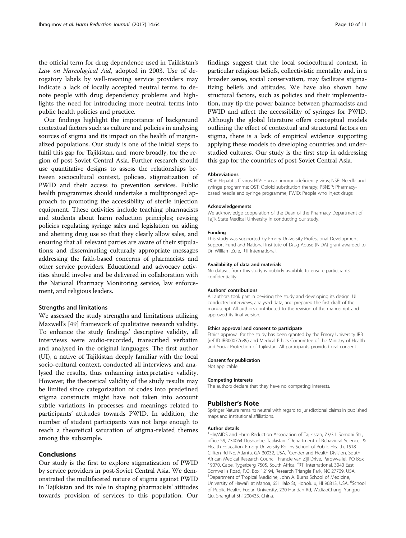the official term for drug dependence used in Tajikistan's Law on Narcological Aid, adopted in 2003. Use of derogatory labels by well-meaning service providers may indicate a lack of locally accepted neutral terms to denote people with drug dependency problems and highlights the need for introducing more neutral terms into public health policies and practice.

Our findings highlight the importance of background contextual factors such as culture and policies in analysing sources of stigma and its impact on the health of marginalized populations. Our study is one of the initial steps to fulfil this gap for Tajikistan, and, more broadly, for the region of post-Soviet Central Asia. Further research should use quantitative designs to assess the relationships between sociocultural context, policies, stigmatization of PWID and their access to prevention services. Public health programmes should undertake a multipronged approach to promoting the accessibility of sterile injection equipment. These activities include teaching pharmacists and students about harm reduction principles; revising policies regulating syringe sales and legislation on aiding and abetting drug use so that they clearly allow sales, and ensuring that all relevant parties are aware of their stipulations; and disseminating culturally appropriate messages addressing the faith-based concerns of pharmacists and other service providers. Educational and advocacy activities should involve and be delivered in collaboration with the National Pharmacy Monitoring service, law enforcement, and religious leaders.

## Strengths and limitations

We assessed the study strengths and limitations utilizing Maxwell's [[49\]](#page-10-0) framework of qualitative research validity. To enhance the study findings' descriptive validity, all interviews were audio-recorded, transcribed verbatim and analysed in the original languages. The first author (UI), a native of Tajikistan deeply familiar with the local socio-cultural context, conducted all interviews and analysed the results, thus enhancing interpretative validity. However, the theoretical validity of the study results may be limited since categorization of codes into predefined stigma constructs might have not taken into account subtle variations in processes and meanings related to participants' attitudes towards PWID. In addition, the number of student participants was not large enough to reach a theoretical saturation of stigma-related themes among this subsample.

## Conclusions

Our study is the first to explore stigmatization of PWID by service providers in post-Soviet Central Asia. We demonstrated the multifaceted nature of stigma against PWID in Tajikistan and its role in shaping pharmacists' attitudes towards provision of services to this population. Our findings suggest that the local sociocultural context, in particular religious beliefs, collectivistic mentality and, in a broader sense, social conservatism, may facilitate stigmatizing beliefs and attitudes. We have also shown how structural factors, such as policies and their implementation, may tip the power balance between pharmacists and PWID and affect the accessibility of syringes for PWID. Although the global literature offers conceptual models outlining the effect of contextual and structural factors on stigma, there is a lack of empirical evidence supporting applying these models to developing countries and understudied cultures. Our study is the first step in addressing this gap for the countries of post-Soviet Central Asia.

#### Abbreviations

HCV: Hepatitis C virus; HIV: Human immunodeficiency virus; NSP: Needle and syringe programme; OST: Opioid substitution therapy; PBNSP: Pharmacybased needle and syringe programme; PWID: People who inject drugs

#### Acknowledgements

We acknowledge cooperation of the Dean of the Pharmacy Department of Tajik State Medical University in conducting our study.

#### Funding

This study was supported by Emory University Professional Development Support Fund and National Institute of Drug Abuse (NIDA) grant awarded to Dr. William Zule, RTI International.

#### Availability of data and materials

No dataset from this study is publicly available to ensure participants' confidentiality.

#### Authors' contributions

All authors took part in devising the study and developing its design. UI conducted interviews, analysed data, and prepared the first draft of the manuscript. All authors contributed to the revision of the manuscript and approved its final version.

#### Ethics approval and consent to participate

Ethics approval for the study has been granted by the Emory University IRB (ref ID IRB00077689) and Medical Ethics Committee of the Ministry of Health and Social Protection of Tajikistan. All participants provided oral consent.

#### Consent for publication

Not applicable.

#### Competing interests

The authors declare that they have no competing interests.

#### Publisher's Note

Springer Nature remains neutral with regard to jurisdictional claims in published maps and institutional affiliations.

## Author details

<sup>1</sup>HIV/AIDS and Harm Reduction Association of Tajikistan, 73/3 I. Somoni Str. office 59, 734064 Dushanbe, Tajikistan. <sup>2</sup>Department of Behavioral Sciences & Health Education, Emory University Rollins School of Public Health, 1518 Clifton Rd NE, Atlanta, GA 30032, USA. <sup>3</sup>Gender and Health Division, South African Medical Research Council, Francie van Zijl Drive, Parowvallei, PO Box 19070, Cape, Tygerberg 7505, South Africa. <sup>4</sup>RTI International, 3040 East Cornwallis Road, P.O. Box 12194, Research Triangle Park, NC 27709, USA. 5 Department of Tropical Medicine, John A. Burns School of Medicine, University of Hawai'i at Mānoa, 651 Ilalo St, Honolulu, HI 96813, USA. <sup>6</sup>School of Public Health, Fudan University, 220 Handan Rd, WuJiaoChang, Yangpu Qu, Shanghai Shi 200433, China.